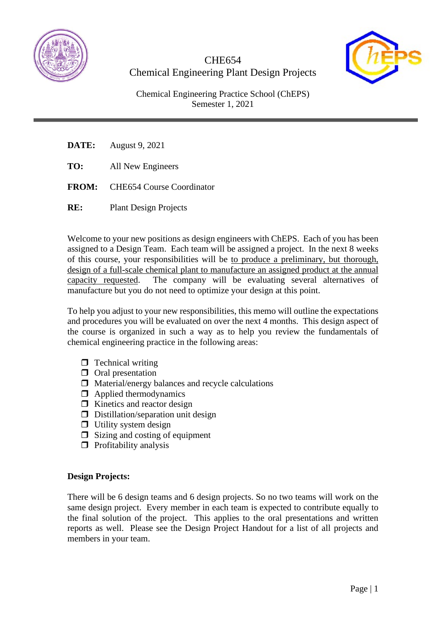





Chemical Engineering Practice School (ChEPS) Semester 1, 2021

- **DATE:** August 9, 2021
- **TO:** All New Engineers
- **FROM:** CHE654 Course Coordinator
- **RE:** Plant Design Projects

Welcome to your new positions as design engineers with ChEPS. Each of you has been assigned to a Design Team. Each team will be assigned a project. In the next 8 weeks of this course, your responsibilities will be to produce a preliminary, but thorough, design of a full-scale chemical plant to manufacture an assigned product at the annual capacity requested. The company will be evaluating several alternatives of manufacture but you do not need to optimize your design at this point.

To help you adjust to your new responsibilities, this memo will outline the expectations and procedures you will be evaluated on over the next 4 months. This design aspect of the course is organized in such a way as to help you review the fundamentals of chemical engineering practice in the following areas:

- $\Box$  Technical writing
- $\Box$  Oral presentation
- $\Box$  Material/energy balances and recycle calculations
- $\Box$  Applied thermodynamics
- $\Box$  Kinetics and reactor design
- $\Box$  Distillation/separation unit design
- $\Box$  Utility system design
- $\Box$  Sizing and costing of equipment
- $\Box$  Profitability analysis

#### **Design Projects:**

There will be 6 design teams and 6 design projects. So no two teams will work on the same design project. Every member in each team is expected to contribute equally to the final solution of the project. This applies to the oral presentations and written reports as well. Please see the Design Project Handout for a list of all projects and members in your team.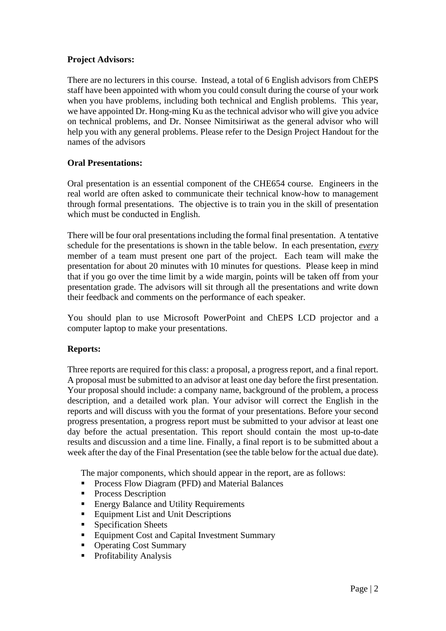### **Project Advisors:**

There are no lecturers in this course. Instead, a total of 6 English advisors from ChEPS staff have been appointed with whom you could consult during the course of your work when you have problems, including both technical and English problems. This year, we have appointed Dr. Hong-ming Ku as the technical advisor who will give you advice on technical problems, and Dr. Nonsee Nimitsiriwat as the general advisor who will help you with any general problems. Please refer to the Design Project Handout for the names of the advisors

### **Oral Presentations:**

Oral presentation is an essential component of the CHE654 course. Engineers in the real world are often asked to communicate their technical know-how to management through formal presentations. The objective is to train you in the skill of presentation which must be conducted in English.

There will be four oral presentations including the formal final presentation. A tentative schedule for the presentations is shown in the table below. In each presentation, *every* member of a team must present one part of the project. Each team will make the presentation for about 20 minutes with 10 minutes for questions. Please keep in mind that if you go over the time limit by a wide margin, points will be taken off from your presentation grade. The advisors will sit through all the presentations and write down their feedback and comments on the performance of each speaker.

You should plan to use Microsoft PowerPoint and ChEPS LCD projector and a computer laptop to make your presentations.

#### **Reports:**

Three reports are required for this class: a proposal, a progress report, and a final report. A proposal must be submitted to an advisor at least one day before the first presentation. Your proposal should include: a company name, background of the problem, a process description, and a detailed work plan. Your advisor will correct the English in the reports and will discuss with you the format of your presentations. Before your second progress presentation, a progress report must be submitted to your advisor at least one day before the actual presentation. This report should contain the most up-to-date results and discussion and a time line. Finally, a final report is to be submitted about a week after the day of the Final Presentation (see the table below for the actual due date).

The major components, which should appear in the report, are as follows:

- **Process Flow Diagram (PFD) and Material Balances**
- Process Description
- Energy Balance and Utility Requirements
- Equipment List and Unit Descriptions
- **Specification Sheets**
- Equipment Cost and Capital Investment Summary
- Operating Cost Summary
- Profitability Analysis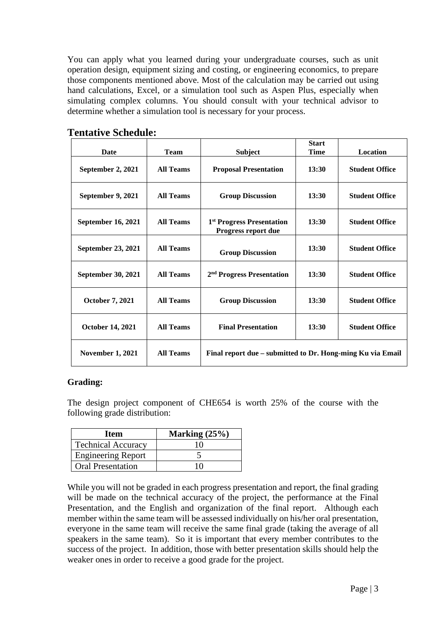You can apply what you learned during your undergraduate courses, such as unit operation design, equipment sizing and costing, or engineering economics, to prepare those components mentioned above. Most of the calculation may be carried out using hand calculations, Excel, or a simulation tool such as Aspen Plus, especially when simulating complex columns. You should consult with your technical advisor to determine whether a simulation tool is necessary for your process.

| Date                      | <b>Team</b>      | <b>Subject</b>                                               | <b>Start</b><br><b>Time</b> | Location              |
|---------------------------|------------------|--------------------------------------------------------------|-----------------------------|-----------------------|
| September 2, 2021         | <b>All Teams</b> | <b>Proposal Presentation</b>                                 | 13:30                       | <b>Student Office</b> |
| September 9, 2021         | <b>All Teams</b> | <b>Group Discussion</b>                                      | 13:30                       | <b>Student Office</b> |
| <b>September 16, 2021</b> | <b>All Teams</b> | 1 <sup>st</sup> Progress Presentation<br>Progress report due | 13:30                       | <b>Student Office</b> |
| September 23, 2021        | <b>All Teams</b> | <b>Group Discussion</b>                                      | 13:30                       | <b>Student Office</b> |
| <b>September 30, 2021</b> | <b>All Teams</b> | 2 <sup>nd</sup> Progress Presentation                        | 13:30                       | <b>Student Office</b> |
| <b>October 7, 2021</b>    | <b>All Teams</b> | <b>Group Discussion</b>                                      | 13:30                       | <b>Student Office</b> |
| <b>October 14, 2021</b>   | <b>All Teams</b> | <b>Final Presentation</b>                                    | 13:30                       | <b>Student Office</b> |
| <b>November 1, 2021</b>   | <b>All Teams</b> | Final report due – submitted to Dr. Hong-ming Ku via Email   |                             |                       |

## **Tentative Schedule:**

### **Grading:**

The design project component of CHE654 is worth 25% of the course with the following grade distribution:

| <b>Item</b>               | Marking $(25%)$ |  |
|---------------------------|-----------------|--|
| <b>Technical Accuracy</b> | 10              |  |
| <b>Engineering Report</b> |                 |  |
| <b>Oral Presentation</b>  | 10              |  |

While you will not be graded in each progress presentation and report, the final grading will be made on the technical accuracy of the project, the performance at the Final Presentation, and the English and organization of the final report. Although each member within the same team will be assessed individually on his/her oral presentation, everyone in the same team will receive the same final grade (taking the average of all speakers in the same team). So it is important that every member contributes to the success of the project. In addition, those with better presentation skills should help the weaker ones in order to receive a good grade for the project.